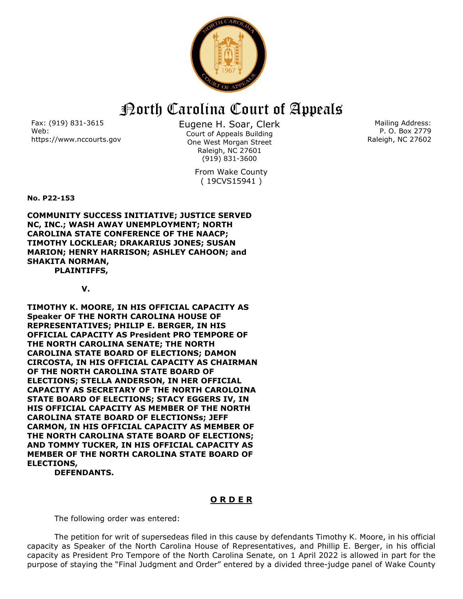

## North Carolina Court of Appeals

Fax: (919) 831-3615 Web: https://www.nccourts.gov Eugene H. Soar, Clerk Court of Appeals Building One West Morgan Street Raleigh, NC 27601 (919) 831-3600

> From Wake County ( 19CVS15941 )

Mailing Address: P. O. Box 2779 Raleigh, NC 27602

**No. P22-153**

**COMMUNITY SUCCESS INITIATIVE; JUSTICE SERVED NC, INC.; WASH AWAY UNEMPLOYMENT; NORTH CAROLINA STATE CONFERENCE OF THE NAACP; TIMOTHY LOCKLEAR; DRAKARIUS JONES; SUSAN MARION; HENRY HARRISON; ASHLEY CAHOON; and SHAKITA NORMAN, PLAINTIFFS,**

**V.**

**TIMOTHY K. MOORE, IN HIS OFFICIAL CAPACITY AS Speaker OF THE NORTH CAROLINA HOUSE OF REPRESENTATIVES; PHILIP E. BERGER, IN HIS OFFICIAL CAPACITY AS President PRO TEMPORE OF THE NORTH CAROLINA SENATE; THE NORTH CAROLINA STATE BOARD OF ELECTIONS; DAMON CIRCOSTA, IN HIS OFFICIAL CAPACITY AS CHAIRMAN OF THE NORTH CAROLINA STATE BOARD OF ELECTIONS; STELLA ANDERSON, IN HER OFFICIAL CAPACITY AS SECRETARY OF THE NORTH CAROLOINA STATE BOARD OF ELECTIONS; STACY EGGERS IV, IN HIS OFFICIAL CAPACITY AS MEMBER OF THE NORTH CAROLINA STATE BOARD OF ELECTIONSs; JEFF CARMON, IN HIS OFFICIAL CAPACITY AS MEMBER OF THE NORTH CAROLINA STATE BOARD OF ELECTIONS; AND TOMMY TUCKER, IN HIS OFFICIAL CAPACITY AS MEMBER OF THE NORTH CAROLINA STATE BOARD OF ELECTIONS,**

**DEFENDANTS.**

## **O R D E R**

The following order was entered:

The petition for writ of supersedeas filed in this cause by defendants Timothy K. Moore, in his official capacity as Speaker of the North Carolina House of Representatives, and Phillip E. Berger, in his official capacity as President Pro Tempore of the North Carolina Senate, on 1 April 2022 is allowed in part for the purpose of staying the "Final Judgment and Order" entered by a divided three-judge panel of Wake County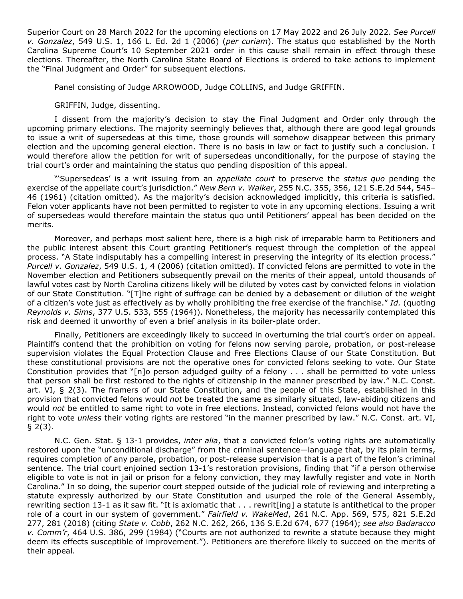Superior Court on 28 March 2022 for the upcoming elections on 17 May 2022 and 26 July 2022. *See Purcell v. Gonzalez*, 549 U.S. 1, 166 L. Ed. 2d 1 (2006) (*per curiam*). The status quo established by the North Carolina Supreme Court's 10 September 2021 order in this cause shall remain in effect through these elections. Thereafter, the North Carolina State Board of Elections is ordered to take actions to implement the "Final Judgment and Order" for subsequent elections.

Panel consisting of Judge ARROWOOD, Judge COLLINS, and Judge GRIFFIN.

## GRIFFIN, Judge, dissenting.

I dissent from the majority's decision to stay the Final Judgment and Order only through the upcoming primary elections. The majority seemingly believes that, although there are good legal grounds to issue a writ of supersedeas at this time, those grounds will somehow disappear between this primary election and the upcoming general election. There is no basis in law or fact to justify such a conclusion. I would therefore allow the petition for writ of supersedeas unconditionally, for the purpose of staying the trial court's order and maintaining the status quo pending disposition of this appeal.

"'Supersedeas' is a writ issuing from an *appellate court* to preserve the *status quo* pending the exercise of the appellate court's jurisdiction." *New Bern v. Walker*, 255 N.C. 355, 356, 121 S.E.2d 544, 545– 46 (1961) (citation omitted). As the majority's decision acknowledged implicitly, this criteria is satisfied. Felon voter applicants have not been permitted to register to vote in any upcoming elections. Issuing a writ of supersedeas would therefore maintain the status quo until Petitioners' appeal has been decided on the merits.

Moreover, and perhaps most salient here, there is a high risk of irreparable harm to Petitioners and the public interest absent this Court granting Petitioner's request through the completion of the appeal process. "A State indisputably has a compelling interest in preserving the integrity of its election process." *Purcell v. Gonzalez*, 549 U.S. 1, 4 (2006) (citation omitted). If convicted felons are permitted to vote in the November election and Petitioners subsequently prevail on the merits of their appeal, untold thousands of lawful votes cast by North Carolina citizens likely will be diluted by votes cast by convicted felons in violation of our State Constitution. "[T]he right of suffrage can be denied by a debasement or dilution of the weight of a citizen's vote just as effectively as by wholly prohibiting the free exercise of the franchise." *Id.* (quoting *Reynolds v. Sims*, 377 U.S. 533, 555 (1964)). Nonetheless, the majority has necessarily contemplated this risk and deemed it unworthy of even a brief analysis in its boiler-plate order.

Finally, Petitioners are exceedingly likely to succeed in overturning the trial court's order on appeal. Plaintiffs contend that the prohibition on voting for felons now serving parole, probation, or post-release supervision violates the Equal Protection Clause and Free Elections Clause of our State Constitution. But these constitutional provisions are not the operative ones for convicted felons seeking to vote. Our State Constitution provides that "[n]o person adjudged guilty of a felony . . . shall be permitted to vote unless that person shall be first restored to the rights of citizenship in the manner prescribed by law." N.C. Const. art. VI, § 2(3). The framers of our State Constitution, and the people of this State, established in this provision that convicted felons would *not* be treated the same as similarly situated, law-abiding citizens and would *not* be entitled to same right to vote in free elections. Instead, convicted felons would not have the right to vote *unless* their voting rights are restored "in the manner prescribed by law." N.C. Const. art. VI,  $\S$  2(3).

N.C. Gen. Stat. § 13-1 provides, *inter alia*, that a convicted felon's voting rights are automatically restored upon the "unconditional discharge" from the criminal sentence—language that, by its plain terms, requires completion of any parole, probation, or post-release supervision that is a part of the felon's criminal sentence. The trial court enjoined section 13-1's restoration provisions, finding that "if a person otherwise eligible to vote is not in jail or prison for a felony conviction, they may lawfully register and vote in North Carolina." In so doing, the superior court stepped outside of the judicial role of reviewing and interpreting a statute expressly authorized by our State Constitution and usurped the role of the General Assembly, rewriting section 13-1 as it saw fit. "It is axiomatic that . . . rewrit[ing] a statute is antithetical to the proper role of a court in our system of government." *Fairfield v. WakeMed*, 261 N.C. App. 569, 575, 821 S.E.2d 277, 281 (2018) (citing *State v. Cobb*, 262 N.C. 262, 266, 136 S.E.2d 674, 677 (1964); *see also Badaracco v. Comm'r*, 464 U.S. 386, 299 (1984) ("Courts are not authorized to rewrite a statute because they might deem its effects susceptible of improvement."). Petitioners are therefore likely to succeed on the merits of their appeal.